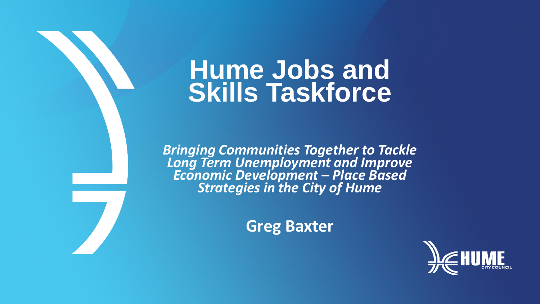### **Hume Jobs and Skills Taskforce**

*Bringing Communities Together to Tackle Long Term Unemployment and Improve Economic Development – Place Based Strategies in the City of Hume*

**Greg Baxter**

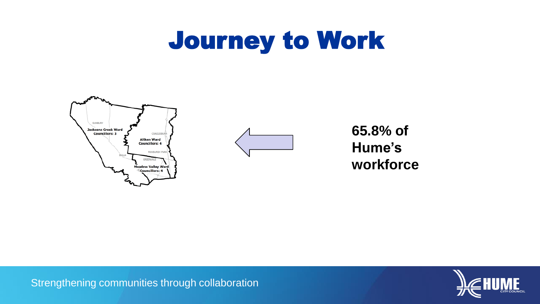### Journey to Work





**65.8% of Hume's workforce**

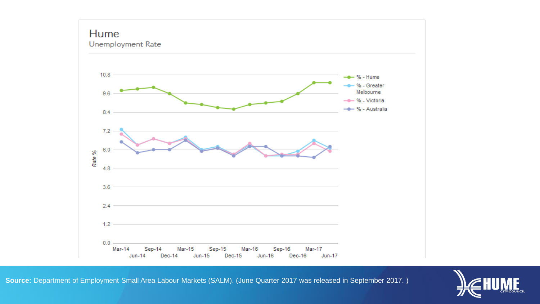### **Hume**<br>Unemployment Rate



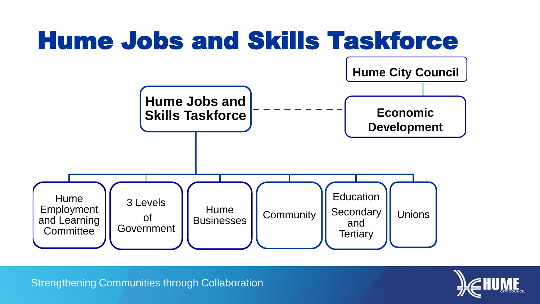

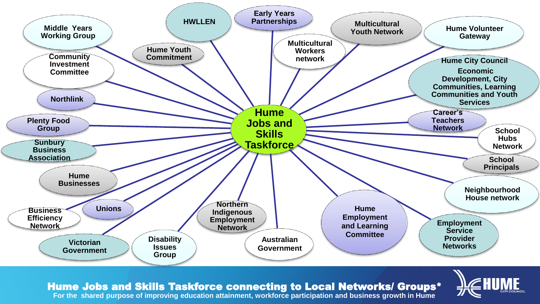

Hume Jobs and Skills Taskforce connecting to Local Networks/ Groups\*



**For the shared purpose of improving education attainment, workforce participation and business growth in Hume**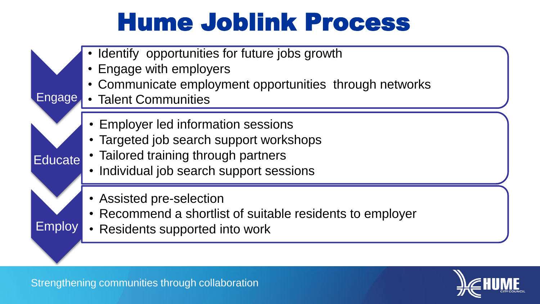## Hume Joblink Process

- Identify opportunities for future jobs growth
	- Engage with employers
	- Communicate employment opportunities through networks
- Engage • Talent Communities

**Educate** 

Employ

- Employer led information sessions
- Targeted job search support workshops
- Tailored training through partners
- Individual job search support sessions
- Assisted pre-selection
- Recommend a shortlist of suitable residents to employer
- Residents supported into work

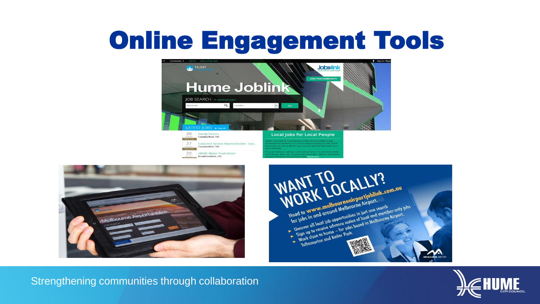## Online Engagement Tools









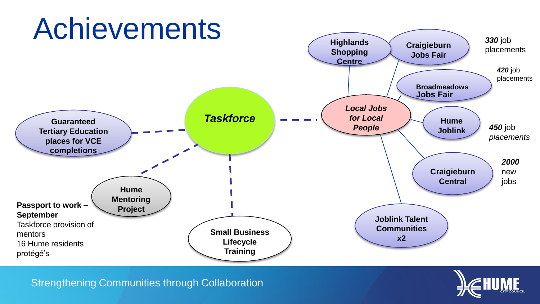

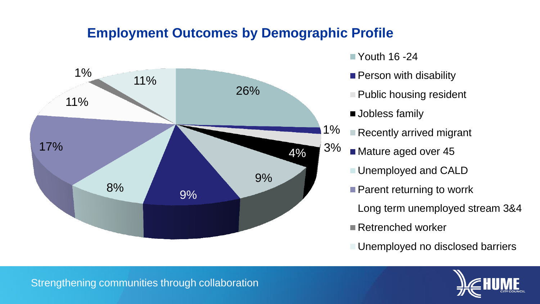#### **Employment Outcomes by Demographic Profile**



- $\blacksquare$  Youth 16 -24
- **Person with disability**
- $\blacksquare$  Public housing resident
- **Jobless family**
- Recently arrived migrant
- Mature aged over 45
	- Unemployed and CALD
	- Parent returning to worrk
		- Long term unemployed stream 3&4
	- Retrenched worker

Unemployed no disclosed barriers

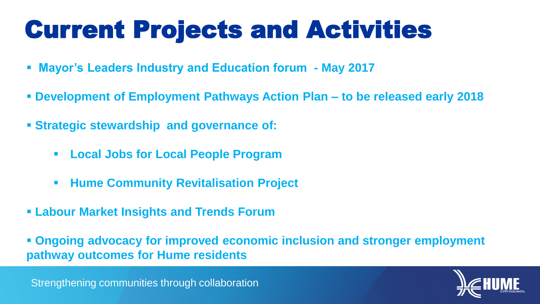# Current Projects and Activities

- **Mayor's Leaders Industry and Education forum - May 2017**
- **Development of Employment Pathways Action Plan – to be released early 2018**
- **Strategic stewardship and governance of:**
	- **Local Jobs for Local People Program**
	- **Hume Community Revitalisation Project**
- **Labour Market Insights and Trends Forum**
- **Ongoing advocacy for improved economic inclusion and stronger employment pathway outcomes for Hume residents**

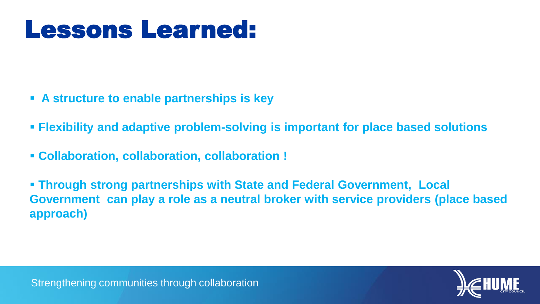### Lessons Learned:

- **A structure to enable partnerships is key**
- **Flexibility and adaptive problem-solving is important for place based solutions**
- **Collaboration, collaboration, collaboration !**

 **Through strong partnerships with State and Federal Government, Local Government can play a role as a neutral broker with service providers (place based approach)**